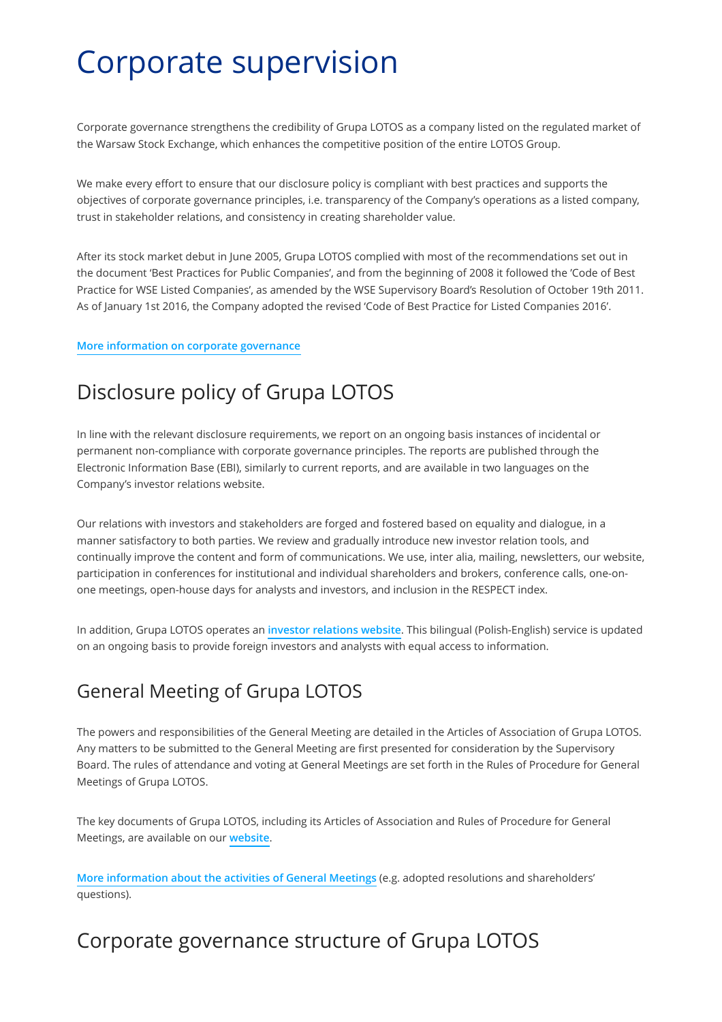# Corporate supervision

Corporate governance strengthens the credibility of Grupa LOTOS as a company listed on the regulated market of the Warsaw Stock Exchange, which enhances the competitive position of the entire LOTOS Group.

We make every effort to ensure that our disclosure policy is compliant with best practices and supports the objectives of corporate governance principles, i.e. transparency of the Company's operations as a listed company, trust in stakeholder relations, and consistency in creating shareholder value.

After its stock market debut in June 2005, Grupa LOTOS complied with most of the recommendations set out in the document 'Best Practices for Public Companies', and from the beginning of 2008 it followed the 'Code of Best Practice for WSE Listed Companies', as amended by the WSE Supervisory Board's Resolution of October 19th 2011. As of January 1st 2016, the Company adopted the revised 'Code of Best Practice for Listed Companies 2016'.

#### **[More information on corporate governance](http://inwestor.lotos.pl/en/1001/corporate_governance/best_practices)**

# Disclosure policy of Grupa LOTOS

In line with the relevant disclosure requirements, we report on an ongoing basis instances of incidental or permanent non-compliance with corporate governance principles. The reports are published through the Electronic Information Base (EBI), similarly to current reports, and are available in two languages on the Company's investor relations website.

Our relations with investors and stakeholders are forged and fostered based on equality and dialogue, in a manner satisfactory to both parties. We review and gradually introduce new investor relation tools, and continually improve the content and form of communications. We use, inter alia, mailing, newsletters, our website, participation in conferences for institutional and individual shareholders and brokers, conference calls, one-onone meetings, open-house days for analysts and investors, and inclusion in the RESPECT index.

In addition, Grupa LOTOS operates an **[investor relations website](http://inwestor.lotos.pl/en/981/investors)**. This bilingual (Polish-English) service is updated on an ongoing basis to provide foreign investors and analysts with equal access to information.

# General Meeting of Grupa LOTOS

The powers and responsibilities of the General Meeting are detailed in the Articles of Association of Grupa LOTOS. Any matters to be submitted to the General Meeting are first presented for consideration by the Supervisory Board. The rules of attendance and voting at General Meetings are set forth in the Rules of Procedure for General Meetings of Grupa LOTOS.

The key documents of Grupa LOTOS, including its Articles of Association and Rules of Procedure for General Meetings, are available on our **[website](http://inwestor.lotos.pl/en/1002/corporate_governance/documents_of_grupa_lotos)**.

**[More information about the activities of General Meetings](http://inwestor.lotos.pl/en/998/corporate_governance/general_shareholders_meeting)** (e.g. adopted resolutions and shareholders' questions).

# Corporate governance structure of Grupa LOTOS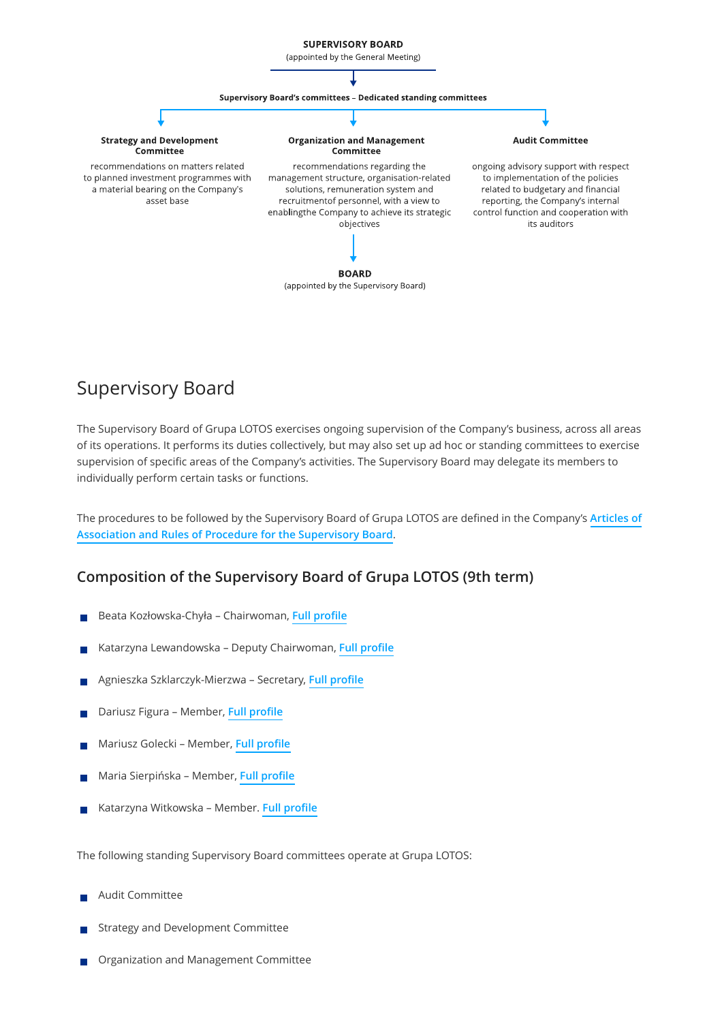

## Supervisory Board

The Supervisory Board of Grupa LOTOS exercises ongoing supervision of the Company's business, across all areas of its operations. It performs its duties collectively, but may also set up ad hoc or standing committees to exercise supervision of specific areas of the Company's activities. The Supervisory Board may delegate its members to individually perform certain tasks or functions.

[The procedures to be followed by the Supervisory Board of Grupa LOTOS are de](http://inwestor.lotos.pl/en/1002/corporate_governance/documents_of_grupa_lotos)fined in the Company's **Articles of Association and Rules of Procedure for the Supervisory Board**.

#### **Composition of the Supervisory Board of Grupa LOTOS (9th term)**

- Beata Kozłowska-Chyła Chairwoman, **[Full pro](http://inwestor.lotos.pl/en/1142/corporate_governance/organizational_structure#person-86)file**
- Katarzyna Lewandowska Deputy Chairwoman, **[Full pro](http://inwestor.lotos.pl/en/1142/corporate_governance/organizational_structure#person-81)file**
- Agnieszka Szklarczyk-Mierzwa Secretary, **[Full pro](http://inwestor.lotos.pl/en/1142/corporate_governance/organizational_structure#person-89)file**
- Dariusz Figura Member, **[Full pro](http://inwestor.lotos.pl/en/1142/corporate_governance/organizational_structure#person-80)file**
- Mariusz Golecki Member, **[Full pro](http://inwestor.lotos.pl/en/1142/corporate_governance/organizational_structure#person-90)file**
- Maria Sierpińska Member, **[Full pro](http://inwestor.lotos.pl/en/1142/corporate_governance/organizational_structure#person-82)file**
- Katarzyna Witkowska Member. **[Full pro](http://inwestor.lotos.pl/en/1142/corporate_governance/organizational_structure#person-75)file**

The following standing Supervisory Board committees operate at Grupa LOTOS:

- Audit Committee
- Strategy and Development Committee
- Organization and Management Committee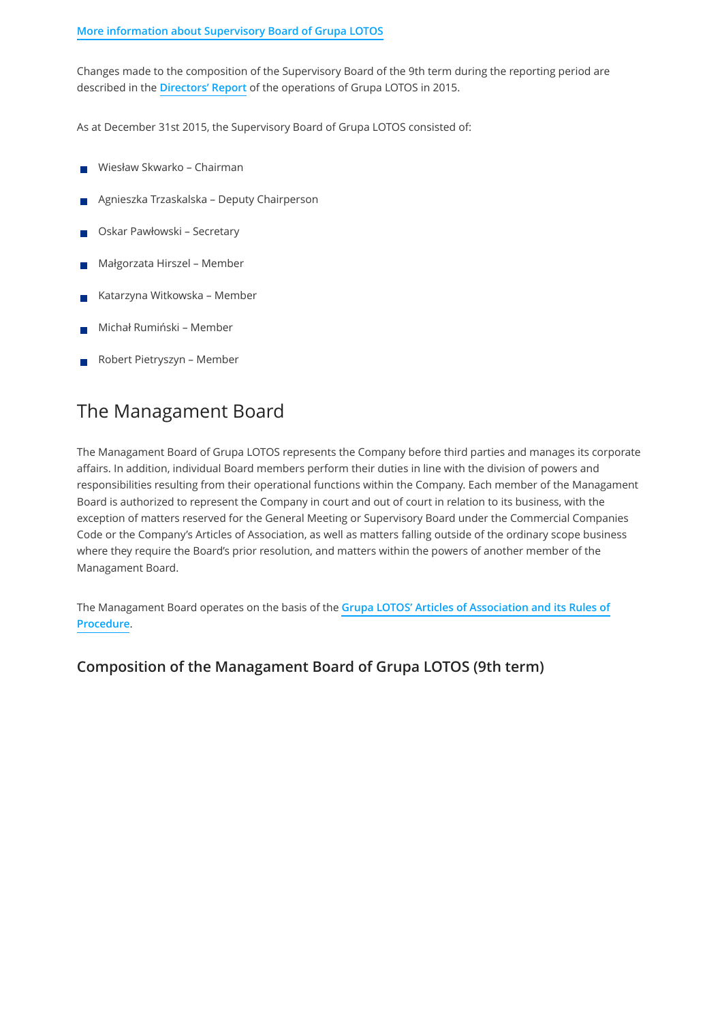#### **[More information about Supervisory Board of Grupa LOTOS](http://inwestor.lotos.pl/en/999/corporate_governance/supervisory_board)**

Changes made to the composition of the Supervisory Board of the 9th term during the reporting period are described in the **[Directors' Report](http://raportroczny.lotos.pl/en/financial-information/managements-discussion-and-analysis)** of the operations of Grupa LOTOS in 2015.

As at December 31st 2015, the Supervisory Board of Grupa LOTOS consisted of:

- Wiesław Skwarko Chairman
- Agnieszka Trzaskalska Deputy Chairperson
- Oskar Pawłowski Secretary
- Małgorzata Hirszel Member
- Katarzyna Witkowska Member
- Michał Rumiński Member
- Robert Pietryszyn Member

### The Managament Board

The Managament Board of Grupa LOTOS represents the Company before third parties and manages its corporate affairs. In addition, individual Board members perform their duties in line with the division of powers and responsibilities resulting from their operational functions within the Company. Each member of the Managament Board is authorized to represent the Company in court and out of court in relation to its business, with the exception of matters reserved for the General Meeting or Supervisory Board under the Commercial Companies Code or the Company's Articles of Association, as well as matters falling outside of the ordinary scope business where they require the Board's prior resolution, and matters within the powers of another member of the Managament Board.

The Managament Board operates on the basis of the **[Grupa LOTOS' Articles of Association and its Rules of](http://inwestor.lotos.pl/en/1002/corporate_governance/documents_of_grupa_lotos) Procedure**.

#### **Composition of the Managament Board of Grupa LOTOS (9th term)**